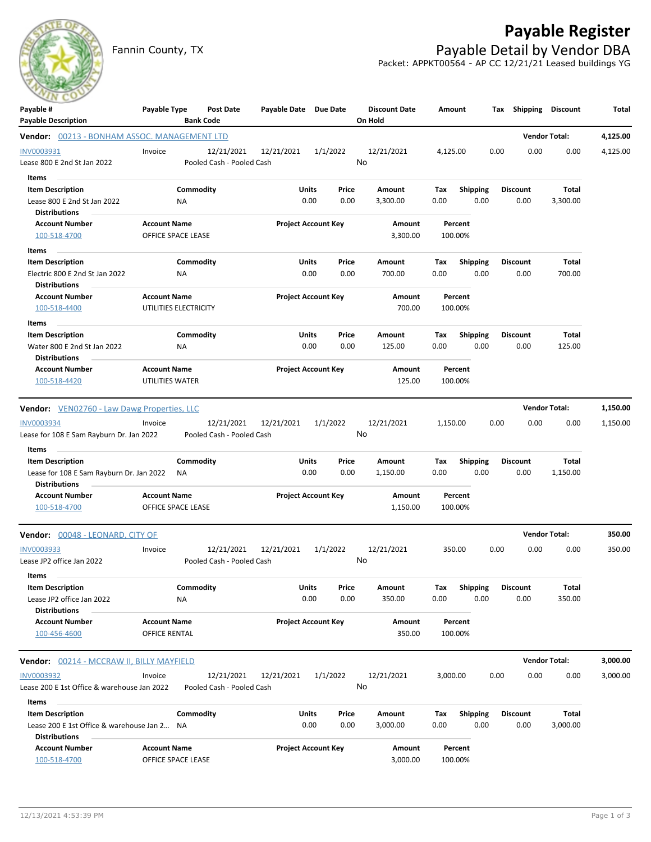## **Payable Register**



Fannin County, TX **Payable Detail by Vendor DBA** Packet: APPKT00564 - AP CC 12/21/21 Leased buildings YG

| $\sim$<br>Payable #                                              | Payable Type          | Post Date                 | Payable Date Due Date |                            | <b>Discount Date</b> |      | Amount          |      | Tax Shipping Discount |                      | Total    |
|------------------------------------------------------------------|-----------------------|---------------------------|-----------------------|----------------------------|----------------------|------|-----------------|------|-----------------------|----------------------|----------|
| <b>Payable Description</b>                                       |                       | <b>Bank Code</b>          |                       |                            | On Hold              |      |                 |      |                       |                      |          |
| <b>Vendor:</b> 00213 - BONHAM ASSOC. MANAGEMENT LTD              |                       |                           |                       |                            |                      |      |                 |      |                       | <b>Vendor Total:</b> | 4,125.00 |
| INV0003931                                                       | Invoice               | 12/21/2021                | 12/21/2021            | 1/1/2022                   | 12/21/2021           |      | 4,125.00        | 0.00 | 0.00                  | 0.00                 | 4,125.00 |
| Lease 800 E 2nd St Jan 2022                                      |                       | Pooled Cash - Pooled Cash |                       |                            | No                   |      |                 |      |                       |                      |          |
| Items                                                            |                       |                           |                       |                            |                      |      |                 |      |                       |                      |          |
| <b>Item Description</b>                                          |                       | Commodity                 | Units                 | Price                      | Amount               | Tax  | <b>Shipping</b> |      | <b>Discount</b>       | Total                |          |
| Lease 800 E 2nd St Jan 2022<br><b>Distributions</b>              | NA                    |                           |                       | 0.00<br>0.00               | 3,300.00             | 0.00 | 0.00            |      | 0.00                  | 3,300.00             |          |
| <b>Account Number</b>                                            | <b>Account Name</b>   |                           |                       | <b>Project Account Key</b> | Amount               |      | Percent         |      |                       |                      |          |
| 100-518-4700                                                     | OFFICE SPACE LEASE    |                           |                       |                            | 3,300.00             |      | 100.00%         |      |                       |                      |          |
| Items                                                            |                       |                           |                       |                            |                      |      |                 |      |                       |                      |          |
| <b>Item Description</b>                                          |                       | Commodity                 | Units                 | Price                      | Amount               | Тах  | <b>Shipping</b> |      | <b>Discount</b>       | Total                |          |
| Electric 800 E 2nd St Jan 2022<br><b>Distributions</b>           | ΝA                    |                           |                       | 0.00<br>0.00               | 700.00               | 0.00 | 0.00            |      | 0.00                  | 700.00               |          |
| <b>Account Number</b>                                            | <b>Account Name</b>   |                           |                       | <b>Project Account Key</b> | Amount               |      | Percent         |      |                       |                      |          |
| 100-518-4400                                                     | UTILITIES ELECTRICITY |                           |                       |                            | 700.00               |      | 100.00%         |      |                       |                      |          |
| Items                                                            |                       |                           |                       |                            |                      |      |                 |      |                       |                      |          |
| <b>Item Description</b>                                          |                       | Commodity                 | Units                 | Price                      | Amount               | Tax  | <b>Shipping</b> |      | <b>Discount</b>       | Total                |          |
| Water 800 E 2nd St Jan 2022<br><b>Distributions</b>              | ΝA                    |                           |                       | 0.00<br>0.00               | 125.00               | 0.00 | 0.00            |      | 0.00                  | 125.00               |          |
| <b>Account Number</b>                                            | <b>Account Name</b>   |                           |                       | <b>Project Account Key</b> | Amount               |      | Percent         |      |                       |                      |          |
| 100-518-4420                                                     | UTILITIES WATER       |                           |                       |                            | 125.00               |      | 100.00%         |      |                       |                      |          |
| Vendor: VEN02760 - Law Dawg Properties, LLC                      |                       |                           |                       |                            |                      |      |                 |      |                       | <b>Vendor Total:</b> | 1,150.00 |
| <b>INV0003934</b>                                                | Invoice               | 12/21/2021                | 12/21/2021            | 1/1/2022                   | 12/21/2021           |      | 1,150.00        | 0.00 | 0.00                  | 0.00                 | 1,150.00 |
| Lease for 108 E Sam Rayburn Dr. Jan 2022                         |                       | Pooled Cash - Pooled Cash |                       |                            | No                   |      |                 |      |                       |                      |          |
| Items                                                            |                       |                           |                       |                            |                      |      |                 |      |                       |                      |          |
| <b>Item Description</b>                                          |                       | Commodity                 | Units                 | Price                      | Amount               | Tax  | <b>Shipping</b> |      | <b>Discount</b>       | Total                |          |
| Lease for 108 E Sam Rayburn Dr. Jan 2022<br><b>Distributions</b> | ΝA                    |                           |                       | 0.00<br>0.00               | 1,150.00             | 0.00 | 0.00            |      | 0.00                  | 1,150.00             |          |
| <b>Account Number</b>                                            | <b>Account Name</b>   |                           |                       | <b>Project Account Key</b> | Amount               |      | Percent         |      |                       |                      |          |
| 100-518-4700                                                     | OFFICE SPACE LEASE    |                           |                       |                            | 1,150.00             |      | 100.00%         |      |                       |                      |          |
| Vendor: 00048 - LEONARD, CITY OF                                 |                       |                           |                       |                            |                      |      |                 |      |                       | <b>Vendor Total:</b> | 350.00   |
| <b>INV0003933</b>                                                | Invoice               | 12/21/2021                | 12/21/2021            | 1/1/2022                   | 12/21/2021           |      | 350.00          | 0.00 | 0.00                  | 0.00                 | 350.00   |
| Lease JP2 office Jan 2022                                        |                       | Pooled Cash - Pooled Cash |                       |                            | No                   |      |                 |      |                       |                      |          |
| Items                                                            |                       |                           |                       |                            |                      |      |                 |      |                       |                      |          |
| <b>Item Description</b>                                          |                       | Commodity                 | Units                 | Price                      | Amount               | Тах  | <b>Shipping</b> |      | <b>Discount</b>       | Total                |          |
| Lease JP2 office Jan 2022                                        | <b>NA</b>             |                           |                       | 0.00<br>0.00               | 350.00               | 0.00 | 0.00            |      | 0.00                  | 350.00               |          |
| <b>Distributions</b>                                             |                       |                           |                       |                            |                      |      |                 |      |                       |                      |          |
| <b>Account Number</b>                                            | <b>Account Name</b>   |                           |                       | <b>Project Account Key</b> | Amount               |      | Percent         |      |                       |                      |          |
| 100-456-4600                                                     | OFFICE RENTAL         |                           |                       |                            | 350.00               |      | 100.00%         |      |                       |                      |          |
| <b>Vendor:</b> 00214 - MCCRAW II, BILLY MAYFIELD                 |                       |                           |                       |                            |                      |      |                 |      |                       | <b>Vendor Total:</b> | 3,000.00 |
| <b>INV0003932</b>                                                | Invoice               | 12/21/2021                | 12/21/2021            | 1/1/2022                   | 12/21/2021           |      | 3,000.00        | 0.00 | 0.00                  | 0.00                 | 3,000.00 |
| Lease 200 E 1st Office & warehouse Jan 2022                      |                       | Pooled Cash - Pooled Cash |                       |                            | No                   |      |                 |      |                       |                      |          |
| Items                                                            |                       |                           |                       |                            |                      |      |                 |      |                       |                      |          |
| <b>Item Description</b>                                          |                       | Commodity                 | Units                 | Price                      | Amount               | Tax  | <b>Shipping</b> |      | <b>Discount</b>       | <b>Total</b>         |          |
| Lease 200 E 1st Office & warehouse Jan 2 NA                      |                       |                           |                       | 0.00<br>0.00               | 3,000.00             | 0.00 | 0.00            |      | 0.00                  | 3,000.00             |          |
| <b>Distributions</b><br><b>Account Number</b>                    | <b>Account Name</b>   |                           |                       | <b>Project Account Key</b> | Amount               |      | Percent         |      |                       |                      |          |
| 100-518-4700                                                     | OFFICE SPACE LEASE    |                           |                       |                            | 3,000.00             |      | 100.00%         |      |                       |                      |          |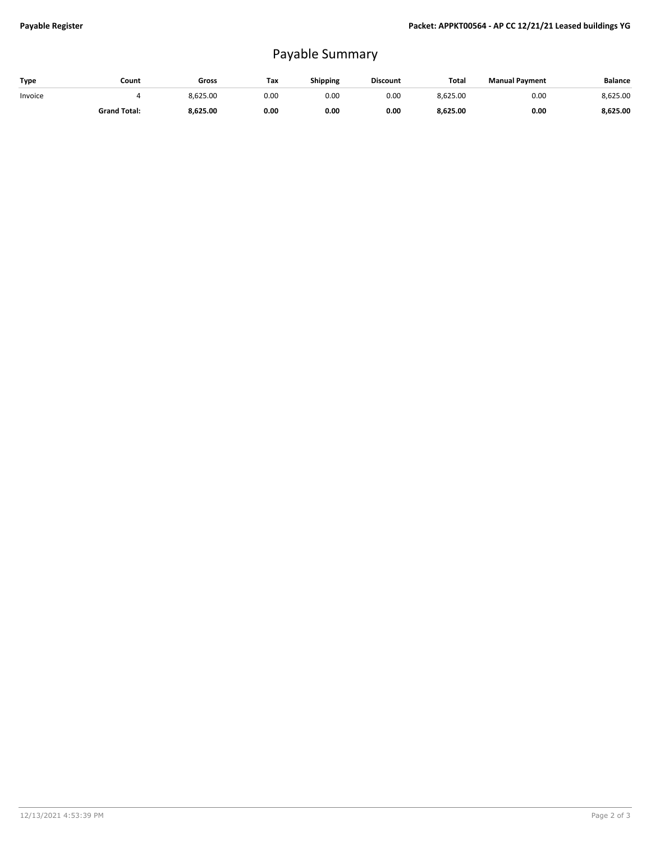## Payable Summary

| Type    | Count               | Gross    | Tax  | <b>Shipping</b> | <b>Discount</b> | <b>Total</b> | <b>Manual Payment</b> | <b>Balance</b> |
|---------|---------------------|----------|------|-----------------|-----------------|--------------|-----------------------|----------------|
| Invoice |                     | 8,625.00 | 0.00 | 0.OC            | 0.00            | 8,625.00     | 0.00                  | 8,625.00       |
|         | <b>Grand Total:</b> | 8.625.00 | 0.00 | 0.00            | 0.00            | 8,625.00     | 0.00                  | 8,625.00       |